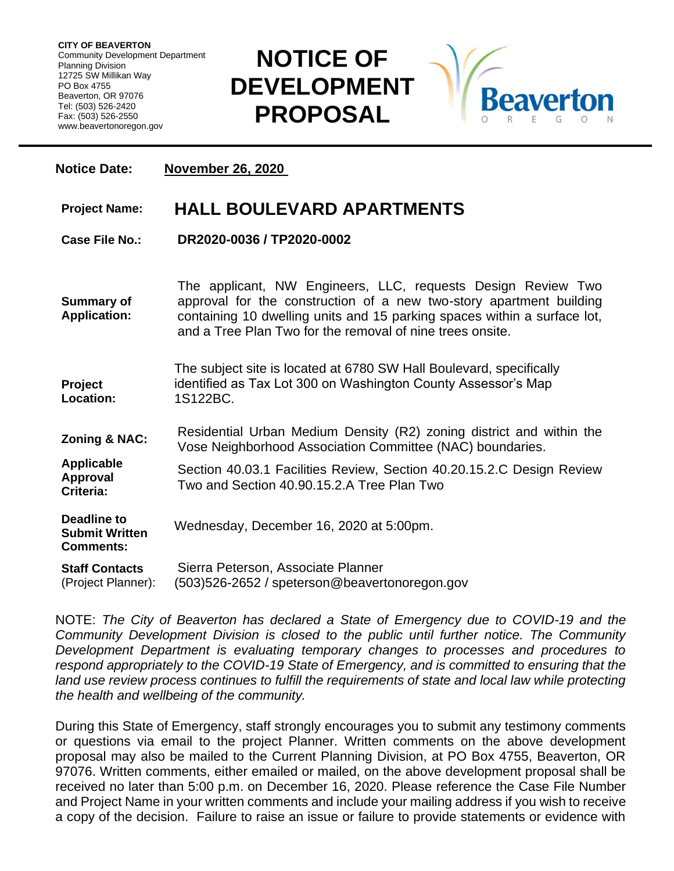**CITY OF BEAVERTON** Community Development Department Planning Division 12725 SW Millikan Way PO Box 4755 Beaverton, OR 97076 Tel: (503) 526-2420 Fax: (503) 526-2550 www.beavertonoregon.gov

## **NOTICE OF DEVELOPMENT PROPOSAL**



| <b>Notice Date:</b>                                             | <b>November 26, 2020</b>                                                                                                                                                                                                                                                     |
|-----------------------------------------------------------------|------------------------------------------------------------------------------------------------------------------------------------------------------------------------------------------------------------------------------------------------------------------------------|
| <b>Project Name:</b>                                            | <b>HALL BOULEVARD APARTMENTS</b>                                                                                                                                                                                                                                             |
| <b>Case File No.:</b>                                           | DR2020-0036 / TP2020-0002                                                                                                                                                                                                                                                    |
| <b>Summary of</b><br><b>Application:</b>                        | The applicant, NW Engineers, LLC, requests Design Review Two<br>approval for the construction of a new two-story apartment building<br>containing 10 dwelling units and 15 parking spaces within a surface lot,<br>and a Tree Plan Two for the removal of nine trees onsite. |
| Project<br>Location:                                            | The subject site is located at 6780 SW Hall Boulevard, specifically<br>identified as Tax Lot 300 on Washington County Assessor's Map<br>1S122BC.                                                                                                                             |
| <b>Zoning &amp; NAC:</b>                                        | Residential Urban Medium Density (R2) zoning district and within the<br>Vose Neighborhood Association Committee (NAC) boundaries.                                                                                                                                            |
| <b>Applicable</b><br><b>Approval</b><br>Criteria:               | Section 40.03.1 Facilities Review, Section 40.20.15.2.C Design Review<br>Two and Section 40.90.15.2.A Tree Plan Two                                                                                                                                                          |
| <b>Deadline to</b><br><b>Submit Written</b><br><b>Comments:</b> | Wednesday, December 16, 2020 at 5:00pm.                                                                                                                                                                                                                                      |
| <b>Staff Contacts</b><br>(Project Planner):                     | Sierra Peterson, Associate Planner<br>(503)526-2652 / speterson@beavertonoregon.gov                                                                                                                                                                                          |

NOTE: *The City of Beaverton has declared a State of Emergency due to COVID-19 and the Community Development Division is closed to the public until further notice. The Community Development Department is evaluating temporary changes to processes and procedures to respond appropriately to the COVID-19 State of Emergency, and is committed to ensuring that the*  land use review process continues to fulfill the requirements of state and local law while protecting *the health and wellbeing of the community.*

During this State of Emergency, staff strongly encourages you to submit any testimony comments or questions via email to the project Planner. Written comments on the above development proposal may also be mailed to the Current Planning Division, at PO Box 4755, Beaverton, OR 97076. Written comments, either emailed or mailed, on the above development proposal shall be received no later than 5:00 p.m. on December 16, 2020. Please reference the Case File Number and Project Name in your written comments and include your mailing address if you wish to receive a copy of the decision. Failure to raise an issue or failure to provide statements or evidence with